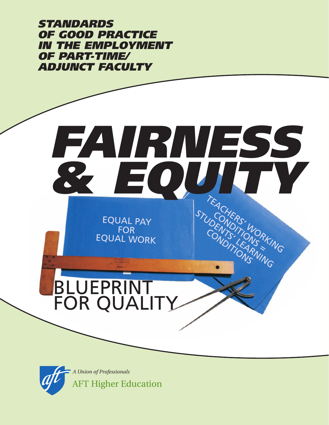*STANDARDS OF GOOD PRACTICE IN THE EMPLOYMENT OF PART-TIME/ ADJUNCT FACULTY*

# BLUEPRINT FOR QUALITY *FAIRNESS & EQUITY* EQUAL PAY EQUAL WORK TEACHERS' WORKING STUDENTS' NORKI

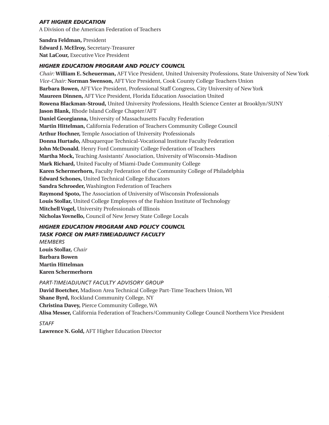#### *AFT HIGHER EDUCATION*

A Division of the American Federation of Teachers

**Sandra Feldman,** President **Edward J. McElroy,** Secretary-Treasurer **Nat LaCour,** Executive Vice President

#### *HIGHER EDUCATION PROGRAM AND POLICY COUNCIL*

*Chair:* **William E. Scheuerman,** AFT Vice President, United University Professions, State University of New York *Vice-Chair:* **Norman Swenson,** AFT Vice President, Cook County College Teachers Union **Barbara Bowen,** AFT Vice President, Professional Staff Congress, City University of New York **Maureen Dinnen,** AFT Vice President, Florida Education Association United **Rowena Blackman-Stroud,** United University Professions, Health Science Center at Brooklyn/SUNY **Jason Blank,** Rhode Island College Chapter/AFT **Daniel Georgianna,** University of Massachusetts Faculty Federation **Martin Hittelman,** California Federation of Teachers Community College Council **Arthur Hochner,** Temple Association of University Professionals **Donna Hurtado,** Albuquerque Technical-Vocational Institute Faculty Federation **John McDonald**, Henry Ford Community College Federation of Teachers **Martha Mock,** Teaching Assistants' Association, University of Wisconsin-Madison **Mark Richard,** United Faculty of Miami-Dade Community College **Karen Schermerhorn,** Faculty Federation of the Community College of Philadelphia **Edward Schones,** United Technical College Educators **Sandra Schroeder,** Washington Federation of Teachers **Raymond Spoto,** The Association of University of Wisconsin Professionals **Louis Stollar,** United College Employees of the Fashion Institute of Technology **Mitchell Vogel,** University Professionals of Illinois **Nicholas Yovnello,** Council of New Jersey State College Locals

#### *HIGHER EDUCATION PROGRAM AND POLICY COUNCIL TASK FORCE ON PART-TIME/ADJUNCT FACULTY*

*MEMBERS* **Louis Stollar,** *Chair* **Barbara Bowen Martin Hittelman Karen Schermerhorn**

*PART-TIME/ADJUNCT FACULTY ADVISORY GROUP* **David Boetcher,** Madison Area Technical College Part-Time Teachers Union, WI **Shane Byrd,** Rockland Community College, NY **Christina Davey,** Pierce Community College, WA **Alisa Messer,** California Federation of Teachers/Community College Council Northern Vice President

*STAFF*

**Lawrence N. Gold,** AFT Higher Education Director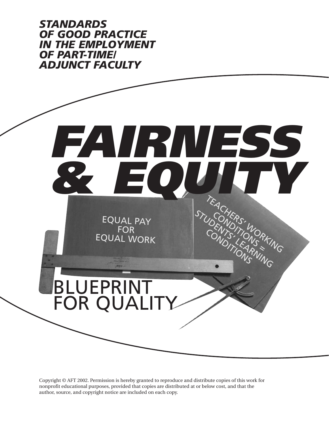*STANDARDS OF GOOD PRACTICE IN THE EMPLOYMENT OF PART-TIME/ ADJUNCT FACULTY*



Copyright © AFT 2002. Permission is hereby granted to reproduce and distribute copies of this work for nonprofit educational purposes, provided that copies are distributed at or below cost, and that the author, source, and copyright notice are included on each copy.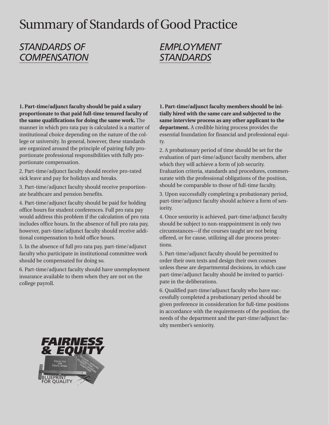# Summary of Standards of Good Practice

## *STANDARDS OF COMPENSATION*

## *EMPLOYMENT STANDARDS*

**1. Part-time/adjunct faculty should be paid a salary proportionate to that paid full-time tenured faculty of the same qualifications for doing the same work.** The manner in which pro rata pay is calculated is a matter of institutional choice depending on the nature of the college or university. In general, however, these standards are organized around the principle of pairing fully proportionate professional responsibilities with fully proportionate compensation.

2. Part-time/adjunct faculty should receive pro-rated sick leave and pay for holidays and breaks.

3. Part-time/adjunct faculty should receive proportionate healthcare and pension benefits.

4. Part-time/adjunct faculty should be paid for holding office hours for student conferences. Full pro rata pay would address this problem if the calculation of pro rata includes office hours. In the absence of full pro rata pay, however, part-time/adjunct faculty should receive additional compensation to hold office hours.

5. In the absence of full pro rata pay, part-time/adjunct faculty who participate in institutional committee work should be compensated for doing so.

6. Part-time/adjunct faculty should have unemployment insurance available to them when they are not on the college payroll.

**1. Part-time/adjunct faculty members should be initially hired with the same care and subjected to the same interview process as any other applicant to the department.** A credible hiring process provides the essential foundation for financial and professional equity.

2. A probationary period of time should be set for the evaluation of part-time/adjunct faculty members, after which they will achieve a form of job security. Evaluation criteria, standards and procedures, commensurate with the professional obligations of the position, should be comparable to those of full-time faculty.

3. Upon successfully completing a probationary period, part-time/adjunct faculty should achieve a form of seniority.

4. Once seniority is achieved, part-time/adjunct faculty should be subject to non-reappointment in only two circumstances—if the courses taught are not being offered, or for cause, utilizing all due process protections.

5. Part-time/adjunct faculty should be permitted to order their own texts and design their own courses unless these are departmental decisions, in which case part-time/adjunct faculty should be invited to participate in the deliberations.

6. Qualified part-time/adjunct faculty who have successfully completed a probationary period should be given preference in consideration for full-time positions in accordance with the requirements of the position, the needs of the department and the part-time/adjunct faculty member's seniority.

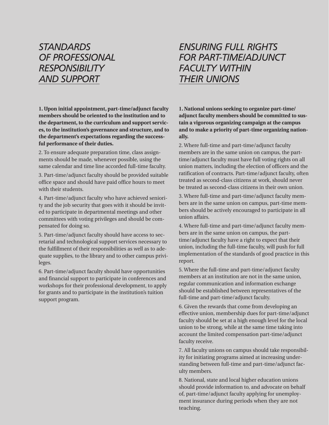## *STANDARDS OF PROFESSIONAL RESPONSIBILITY AND SUPPORT*

**1. Upon initial appointment, part-time/adjunct faculty members should be oriented to the institution and to the department, to the curriculum and support services, to the institution's governance and structure, and to the department's expectations regarding the successful performance of their duties.**

2. To ensure adequate preparation time, class assignments should be made, whenever possible, using the same calendar and time line accorded full-time faculty.

3. Part-time/adjunct faculty should be provided suitable office space and should have paid office hours to meet with their students.

4. Part-time/adjunct faculty who have achieved seniority and the job security that goes with it should be invited to participate in departmental meetings and other committees with voting privileges and should be compensated for doing so.

5. Part-time/adjunct faculty should have access to secretarial and technological support services necessary to the fulfillment of their responsibilities as well as to adequate supplies, to the library and to other campus privileges.

6. Part-time/adjunct faculty should have opportunities and financial support to participate in conferences and workshops for their professional development, to apply for grants and to participate in the institution's tuition support program.

## *ENSURING FULL RIGHTS FOR PART-TIME/ADJUNCT FACULTY WITHIN THEIR UNIONS*

**1. National unions seeking to organize part-time/ adjunct faculty members should be committed to sustain a vigorous organizing campaign at the campus and to make a priority of part-time organizing nationally.**

2. Where full-time and part-time/adjunct faculty members are in the same union on campus, the parttime/adjunct faculty must have full voting rights on all union matters, including the election of officers and the ratification of contracts. Part-time/adjunct faculty, often treated as second-class citizens at work, should never be treated as second-class citizens in their own union.

3. Where full-time and part-time/adjunct faculty members are in the same union on campus, part-time members should be actively encouraged to participate in all union affairs.

4. Where full-time and part-time/adjunct faculty members are in the same union on campus, the parttime/adjunct faculty have a right to expect that their union, including the full-time faculty, will push for full implementation of the standards of good practice in this report.

5. Where the full-time and part-time/adjunct faculty members at an institution are not in the same union, regular communication and information exchange should be established between representatives of the full-time and part-time/adjunct faculty.

6. Given the rewards that come from developing an effective union, membership dues for part-time/adjunct faculty should be set at a high enough level for the local union to be strong, while at the same time taking into account the limited compensation part-time/adjunct faculty receive.

7. All faculty unions on campus should take responsibility for initiating programs aimed at increasing understanding between full-time and part-time/adjunct faculty members.

8. National, state and local higher education unions should provide information to, and advocate on behalf of, part-time/adjunct faculty applying for unemployment insurance during periods when they are not teaching.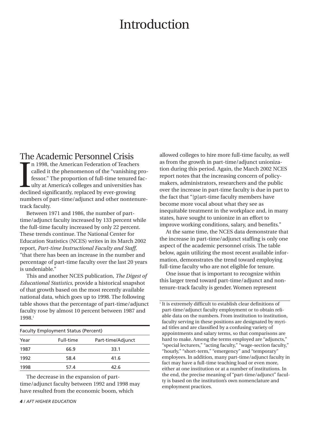## **Introduction**

#### The Academic Personnel Crisis

In 1998, the American Federation of Teache<br>called it the phenomenon of the "vanishing<br>fessor." The proportion of full-time tenured<br>ulty at America's colleges and universities h<br>declined significantly, replaced by ever-grow n 1998, the American Federation of Teachers called it the phenomenon of the "vanishing professor." The proportion of full-time tenured faculty at America's colleges and universities has numbers of part-time/adjunct and other nontenuretrack faculty.

Between 1971 and 1986, the number of parttime/adjunct faculty increased by 133 percent while the full-time faculty increased by only 22 percent. These trends continue. The National Center for Education Statistics (NCES) writes in its March 2002 report, *Part-time Instructional Faculty and Staff,* "that there has been an increase in the number and percentage of part-time faculty over the last 20 years is undeniable."

This and another NCES publication, *The Digest of Educational Statistics,* provide a historical snapshot of that growth based on the most recently available national data, which goes up to 1998. The following table shows that the percentage of part-time/adjunct faculty rose by almost 10 percent between 1987 and 1998.1

|      | <b>Faculty Employment Status (Percent)</b> |                   |  |  |
|------|--------------------------------------------|-------------------|--|--|
| Year | Full-time                                  | Part-time/Adjunct |  |  |
| 1987 | 66.9                                       | 33.1              |  |  |
| 1992 | 58.4                                       | 41.6              |  |  |
| 1998 | 574                                        | 42.6              |  |  |

The decrease in the expansion of parttime/adjunct faculty between 1992 and 1998 may have resulted from the economic boom, which

allowed colleges to hire more full-time faculty, as well as from the growth in part-time/adjunct unionization during this period. Again, the March 2002 NCES report notes that the increasing concern of policymakers, administrators, researchers and the public over the increase in part-time faculty is due in part to the fact that "[p]art-time faculty members have become more vocal about what they see as inequitable treatment in the workplace and, in many states, have sought to unionize in an effort to improve working conditions, salary, and benefits."

At the same time, the NCES data demonstrate that the increase in part-time/adjunct staffing is only one aspect of the academic personnel crisis. The table below, again utilizing the most recent available information, demonstrates the trend toward employing full-time faculty who are not eligible for tenure.

One issue that is important to recognize within this larger trend toward part-time/adjunct and nontenure-track faculty is gender. Women represent

 $\frac{1}{1}$  It is extremely difficult to establish clear definitions of part-time/adjunct faculty employment or to obtain reliable data on the numbers. From institution to institution, faculty serving in these positions are designated by myriad titles and are classified by a confusing variety of appointments and salary terms, so that comparisons are hard to make. Among the terms employed are "adjuncts," "special lecturers," "acting faculty," "wage-section faculty," "hourly," "short-term," "emergency" and "temporary" employees. In addition, many part-time/adjunct faculty in fact may have a full-time teaching load or even more, either at one institution or at a number of institutions. In the end, the precise meaning of "part-time/adjunct" faculty is based on the institution's own nomenclature and employment practices.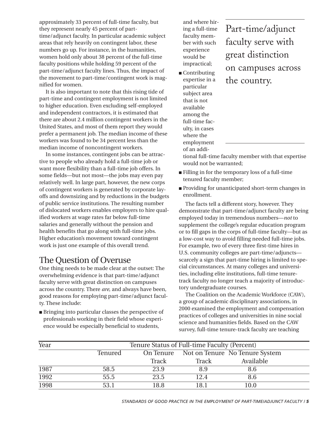approximately 33 percent of full-time faculty, but they represent nearly 45 percent of parttime/adjunct faculty. In particular academic subject areas that rely heavily on contingent labor, these numbers go up. For instance, in the humanities, women hold only about 38 percent of the full-time faculty positions while holding 59 percent of the part-time/adjunct faculty lines. Thus, the impact of the movement to part-time/contingent work is magnified for women.

It is also important to note that this rising tide of part-time and contingent employment is not limited to higher education. Even excluding self-employed and independent contractors, it is estimated that there are about 2.4 million contingent workers in the United States, and most of them report they would prefer a permanent job. The median income of these workers was found to be 34 percent less than the median income of noncontingent workers.

In some instances, contingent jobs can be attractive to people who already hold a full-time job or want more flexibility than a full-time job offers. In some fields—but not most—the jobs may even pay relatively well. In large part, however, the new corps of contingent workers is generated by corporate layoffs and downsizing and by reductions in the budgets of public service institutions. The resulting number of dislocated workers enables employers to hire qualified workers at wage rates far below full-time salaries and generally without the pension and health benefits that go along with full-time jobs. Higher education's movement toward contingent work is just one example of this overall trend.

#### The Question of Overuse

One thing needs to be made clear at the outset: The overwhelming evidence is that part-time/adjunct faculty serve with great distinction on campuses across the country. There *are*, and always have been, good reasons for employing part-time/adjunct faculty. These include:

■ Bringing into particular classes the perspective of professionals working in their field whose experience would be especially beneficial to students,

and where hiring a full-time faculty member with such experience would be impractical;

■ Contributing expertise in a particular subject area that is not available among the full-time faculty, in cases where the employment

of an addi-

## Part-time/adjunct faculty serve with great distinction on campuses across the country.

tional full-time faculty member with that expertise would not be warranted;

- Filling in for the temporary loss of a full-time tenured faculty member;
- Providing for unanticipated short-term changes in enrollment.

The facts tell a different story, however. They demonstrate that part-time/adjunct faculty are being employed today in tremendous numbers—*not* to supplement the college's regular education program or to fill gaps in the corps of full-time faculty—but as a low-cost way to avoid filling needed full-time jobs. For example, two of every three first-time hires in U.S. community colleges are part-time/adjuncts scarcely a sign that part-time hiring is limited to special circumstances. At many colleges and universities, including elite institutions, full-time tenuretrack faculty no longer teach a majority of introductory undergraduate courses.

The Coalition on the Academic Workforce (CAW), a group of academic disciplinary associations, in 2000 examined the employment and compensation practices of colleges and universities in nine social science and humanities fields. Based on the CAW survey, full-time tenure-track faculty are teaching

| Year | Tenure Status of Full-time Faculty (Percent) |       |                                          |           |  |  |
|------|----------------------------------------------|-------|------------------------------------------|-----------|--|--|
|      | Tenured                                      |       | On Tenure Not on Tenure No Tenure System |           |  |  |
|      |                                              | Track | Track                                    | Available |  |  |
| 1987 | 58.5                                         | 23.9  | 8.9                                      | 8.6       |  |  |
| 1992 | 55.5                                         | 23.5  | 12.4                                     | 8.6       |  |  |
| 1998 | 53.1                                         | 18.8  | 18.1                                     | $10.0\,$  |  |  |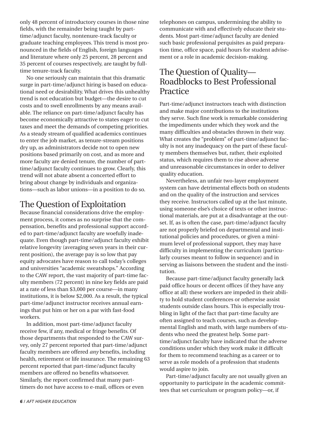only 48 percent of introductory courses in those nine fields, with the remainder being taught by parttime/adjunct faculty, nontenure-track faculty or graduate teaching employees. This trend is most pronounced in the fields of English, foreign languages and literature where only 25 percent, 28 percent and 35 percent of courses respectively, are taught by fulltime tenure-track faculty.

No one seriously can maintain that this dramatic surge in part-time/adjunct hiring is based on educational need or desirability. What drives this unhealthy trend is not education but budget—the desire to cut costs and to swell enrollments by any means available. The reliance on part-time/adjunct faculty has become economically attractive to states eager to cut taxes and meet the demands of competing priorities. As a steady stream of qualified academics continues to enter the job market, as tenure-stream positions dry up, as administrators decide not to open new positions based primarily on cost, and as more and more faculty are denied tenure, the number of parttime/adjunct faculty continues to grow. Clearly, this trend will not abate absent a concerted effort to bring about change by individuals and organizations—such as labor unions—in a position to do so.

#### The Question of Exploitation

Because financial considerations drive the employment process, it comes as no surprise that the compensation, benefits and professional support accorded to part-time/adjunct faculty are woefully inadequate. Even though part-time/adjunct faculty exhibit relative longevity (averaging seven years in their current position), the average pay is so low that pay equity advocates have reason to call today's colleges and universities "academic sweatshops." According to the CAW report, the vast majority of part-time faculty members (72 percent) in nine key fields are paid at a rate of less than \$3,000 per course—in many institutions, it is below \$2,000. As a result, the typical part-time/adjunct instructor receives annual earnings that put him or her on a par with fast-food workers.

In addition, most part-time/adjunct faculty receive few, if any, medical or fringe benefits. Of those departments that responded to the CAW survey, only 27 percent reported that part-time/adjunct faculty members are offered *any* benefits, including health, retirement or life insurance. The remaining 63 percent reported that part-time/adjunct faculty members are offered no benefits whatsoever. Similarly, the report confirmed that many parttimers do not have access to e-mail, offices or even

telephones on campus, undermining the ability to communicate with and effectively educate their students. Most part-time/adjunct faculty are denied such basic professional perquisites as paid preparation time, office space, paid hours for student advisement or a role in academic decision-making.

#### The Question of Quality— Roadblocks to Best Professional Practice

Part-time/adjunct instructors teach with distinction and make major contributions to the institutions they serve. Such fine work is remarkable considering the impediments under which they work and the many difficulties and obstacles thrown in their way. What creates the "problem" of part-time/adjunct faculty is not any inadequacy on the part of these faculty members themselves but, rather, their exploited status, which requires them to rise above adverse and unreasonable circumstances in order to deliver quality education.

Nevertheless, an unfair two-layer employment system can have detrimental effects both on students and on the quality of the instruction and services they receive. Instructors called up at the last minute, using someone else's choice of texts or other instructional materials, are put at a disadvantage at the outset. If, as is often the case, part-time/adjunct faculty are not properly briefed on departmental and institutional policies and procedures, or given a minimum level of professional support, they may have difficulty in implementing the curriculum (particularly courses meant to follow in sequence) and in serving as liaisons between the student and the institution.

Because part-time/adjunct faculty generally lack paid office hours or decent offices (if they have any office at all) these workers are impeded in their ability to hold student conferences or otherwise assist students outside class hours. This is especially troubling in light of the fact that part-time faculty are often assigned to teach courses, such as developmental English and math, with large numbers of students who need the greatest help. Some parttime/adjunct faculty have indicated that the adverse conditions under which they work make it difficult for them to recommend teaching as a career or to serve as role models of a profession that students would aspire to join.

Part-time/adjunct faculty are not usually given an opportunity to participate in the academic committees that set curriculum or program policy—or, if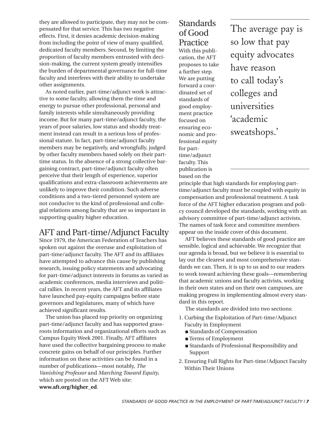they are allowed to participate, they may not be compensated for that service. This has two negative effects. First, it denies academic decision-making from including the point of view of many qualified, dedicated faculty members. Second, by limiting the proportion of faculty members entrusted with decision-making, the current system greatly intensifies the burden of departmental governance for full-time faculty and interferes with their ability to undertake other assignments.

As noted earlier, part-time/adjunct work is attractive to some faculty, allowing them the time and energy to pursue other professional, personal and family interests while simultaneously providing income. But for many part-time/adjunct faculty, the years of poor salaries, low status and shoddy treatment instead can result in a serious loss of professional stature. In fact, part-time/adjunct faculty members may be negatively, and wrongfully, judged by other faculty members based solely on their parttime status. In the absence of a strong collective bargaining contract, part-time/adjunct faculty often perceive that their length of experience, superior qualifications and extra-classroom achievements are unlikely to improve their condition. Such adverse conditions and a two-tiered personnel system are not conducive to the kind of professional and collegial relations among faculty that are so important in supporting quality higher education.

#### AFT and Part-time/Adjunct Faculty

Since 1979, the American Federation of Teachers has spoken out against the overuse and exploitation of part-time/adjunct faculty. The AFT and its affiliates have attempted to advance this cause by publishing research, issuing policy statements and advocating for part-time/adjunct interests in forums as varied as academic conferences, media interviews and political rallies. In recent years, the AFT and its affiliates have launched pay-equity campaigns before state governors and legislatures, many of which have achieved significant results.

The union has placed top priority on organizing part-time/adjunct faculty and has supported grassroots information and organizational efforts such as Campus Equity Week 2001. Finally, AFT affiliates have used the collective bargaining process to make concrete gains on behalf of our principles. Further information on these activities can be found in a number of publications—most notably, *The Vanishing Professor* and *Marching Toward Equity*, which are posted on the AFT Web site: **www.aft.org/higher\_ed**.

#### **Standards** of Good Practice With this publi-

cation, the AFT proposes to take a further step. We are putting forward a coordinated set of standards of good employment practice focused on ensuring economic and professional equity for parttime/adjunct faculty. This publication is based on the

The average pay is so low that pay equity advocates have reason to call today's colleges and universities 'academic sweatshops.'

principle that high standards for employing parttime/adjunct faculty must be coupled with equity in compensation and professional treatment. A task force of the AFT higher education program and policy council developed the standards, working with an advisory committee of part-time/adjunct activists. The names of task force and committee members appear on the inside cover of this document.

AFT believes these standards of good practice are sensible, logical and achievable. We recognize that our agenda is broad, but we believe it is essential to lay out the clearest and most comprehensive standards we can. Then, it is up to us and to our readers to work toward achieving these goals—remembering that academic unions and faculty activists, working in their own states and on their own campuses, are making progress in implementing almost every standard in this report.

The standards are divided into two sections:

- 1. Curbing the Exploitation of Part-time/Adjunct Faculty in Employment
	- Standards of Compensation
	- Terms of Employment
	- Standards of Professional Responsibility and Support
- 2. Ensuring Full Rights for Part-time/Adjunct Faculty Within Their Unions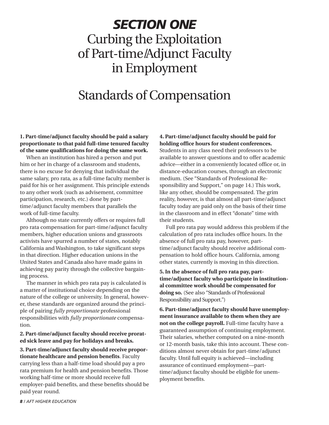# *SECTION ONE* Curbing the Exploitation of Part-time/Adjunct Faculty in Employment

## Standards of Compensation

**1. Part-time/adjunct faculty should be paid a salary proportionate to that paid full-time tenured faculty of the same qualifications for doing the same work.**

When an institution has hired a person and put him or her in charge of a classroom and students, there is no excuse for denying that individual the same salary, pro rata, as a full-time faculty member is paid for his or her assignment. This principle extends to any other work (such as advisement, committee participation, research, etc.) done by parttime/adjunct faculty members that parallels the work of full-time faculty.

Although no state currently offers or requires full pro rata compensation for part-time/adjunct faculty members, higher education unions and grassroots activists have spurred a number of states, notably California and Washington, to take significant steps in that direction. Higher education unions in the United States and Canada also have made gains in achieving pay parity through the collective bargaining process.

The manner in which pro rata pay is calculated is a matter of institutional choice depending on the nature of the college or university. In general, however, these standards are organized around the principle of pairing *fully proportionate* professional responsibilities with *fully proportionate* compensation.

**2. Part-time/adjunct faculty should receive prorated sick leave and pay for holidays and breaks.**

**3. Part-time/adjunct faculty should receive proportionate healthcare and pension benefits**. Faculty carrying less than a half-time load should pay a pro rata premium for health and pension benefits. Those working half-time or more should receive full employer-paid benefits, and these benefits should be paid year round.

**4. Part-time/adjunct faculty should be paid for holding office hours for student conferences.** Students in any class need their professors to be available to answer questions and to offer academic advice—either in a conveniently located office or, in distance-education courses, through an electronic medium. (See "Standards of Professional Responsibility and Support," on page 14.) This work, like any other, should be compensated. The grim reality, however, is that almost all part-time/adjunct faculty today are paid only on the basis of their time in the classroom and in effect "donate" time with their students.

Full pro rata pay would address this problem if the calculation of pro rata includes office hours. In the absence of full pro rata pay, however, parttime/adjunct faculty should receive additional compensation to hold office hours. California, among other states, currently is moving in this direction.

**5. In the absence of full pro rata pay, parttime/adjunct faculty who participate in institutional committee work should be compensated for doing so.** (See also "Standards of Professional Responsibility and Support.")

**6. Part-time/adjunct faculty should have unemployment insurance available to them when they are not on the college payroll.** Full-time faculty have a guaranteed assumption of continuing employment. Their salaries, whether computed on a nine-month or 12-month basis, take this into account. These conditions almost never obtain for part-time/adjunct faculty. Until full equity is achieved—including assurance of continued employment—parttime/adjunct faculty should be eligible for unemployment benefits.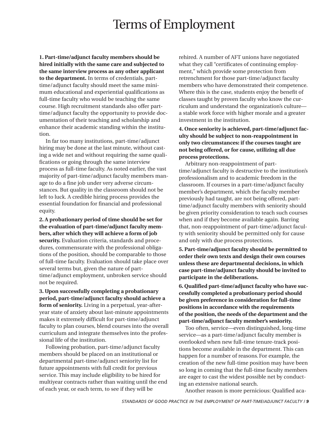## Terms of Employment

**1. Part-time/adjunct faculty members should be hired initially with the same care and subjected to the same interview process as any other applicant to the department.** In terms of credentials, parttime/adjunct faculty should meet the same minimum educational and experiential qualifications as full-time faculty who would be teaching the same course. High recruitment standards also offer parttime/adjunct faculty the opportunity to provide documentation of their teaching and scholarship and enhance their academic standing within the institution.

In far too many institutions, part-time/adjunct hiring may be done at the last minute, without casting a wide net and without requiring the same qualifications or going through the same interview process as full-time faculty. As noted earlier, the vast majority of part-time/adjunct faculty members manage to do a fine job under very adverse circumstances. But quality in the classroom should not be left to luck. A credible hiring process provides the essential foundation for financial and professional equity.

**2. A probationary period of time should be set for the evaluation of part-time/adjunct faculty members, after which they will achieve a form of job security.** Evaluation criteria, standards and procedures, commensurate with the professional obligations of the position, should be comparable to those of full-time faculty. Evaluation should take place over several terms but, given the nature of parttime/adjunct employment, unbroken service should not be required.

**3. Upon successfully completing a probationary period, part-time/adjunct faculty should achieve a form of seniority.** Living in a perpetual, year-afteryear state of anxiety about last-minute appointments makes it extremely difficult for part-time/adjunct faculty to plan courses, blend courses into the overall curriculum and integrate themselves into the professional life of the institution.

Following probation, part-time/adjunct faculty members should be placed on an institutional or departmental part-time/adjunct seniority list for future appointments with full credit for previous service. This may include eligibility to be hired for multiyear contracts rather than waiting until the end of each year, or each term, to see if they will be

rehired. A number of AFT unions have negotiated what they call "certificates of continuing employment," which provide some protection from retrenchment for those part-time/adjunct faculty members who have demonstrated their competence. Where this is the case, students enjoy the benefit of classes taught by proven faculty who know the curriculum and understand the organization's culture a stable work force with higher morale and a greater investment in the institution.

#### **4. Once seniority is achieved, part-time/adjunct faculty should be subject to non-reappointment in only two circumstances: if the courses taught are not being offered, or for cause, utilizing all due process protections.**

Arbitrary non-reappointment of parttime/adjunct faculty is destructive to the institution's professionalism and to academic freedom in the classroom. If courses in a part-time/adjunct faculty member's department, which the faculty member previously had taught, are not being offered, parttime/adjunct faculty members with seniority should be given priority consideration to teach such courses when and if they become available again. Barring that, non-reappointment of part-time/adjunct faculty with seniority should be permitted only for cause and only with due process protections.

**5. Part-time/adjunct faculty should be permitted to order their own texts and design their own courses unless these are departmental decisions, in which case part-time/adjunct faculty should be invited to participate in the deliberations.**

**6. Qualified part-time/adjunct faculty who have successfully completed a probationary period should be given preference in consideration for full-time positions in accordance with the requirements of the position, the needs of the department and the part-time/adjunct faculty member's seniority.**

Too often, service—even distinguished, long-time service—as a part-time/adjunct faculty member is overlooked when new full-time tenure-track positions become available in the department. This can happen for a number of reasons. For example, the creation of the new full-time position may have been so long in coming that the full-time faculty members are eager to cast the widest possible net by conducting an extensive national search.

Another reason is more pernicious: Qualified aca-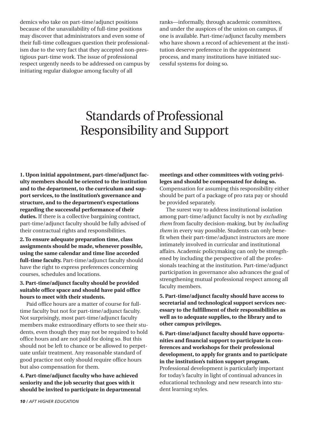demics who take on part-time/adjunct positions because of the unavailability of full-time positions may discover that administrators and even some of their full-time colleagues question their professionalism due to the very fact that they accepted non-prestigious part-time work. The issue of professional respect urgently needs to be addressed on campus by initiating regular dialogue among faculty of all

ranks—informally, through academic committees, and under the auspices of the union on campus, if one is available. Part-time/adjunct faculty members who have shown a record of achievement at the institution deserve preference in the appointment process, and many institutions have initiated successful systems for doing so.

# Standards of Professional Responsibility and Support

**1. Upon initial appointment, part-time/adjunct faculty members should be oriented to the institution and to the department, to the curriculum and support services, to the institution's governance and structure, and to the department's expectations regarding the successful performance of their duties.** If there is a collective bargaining contract, part-time/adjunct faculty should be fully advised of their contractual rights and responsibilities.

**2. To ensure adequate preparation time, class assignments should be made, whenever possible, using the same calendar and time line accorded full-time faculty.** Part-time/adjunct faculty should have the right to express preferences concerning courses, schedules and locations.

**3. Part-time/adjunct faculty should be provided suitable office space and should have paid office hours to meet with their students.**

Paid office hours are a matter of course for fulltime faculty but not for part-time/adjunct faculty. Not surprisingly, most part-time/adjunct faculty members make extraordinary efforts to see their students, even though they may not be required to hold office hours and are not paid for doing so. But this should not be left to chance or be allowed to perpetuate unfair treatment. Any reasonable standard of good practice not only should require office hours but also compensation for them.

**4. Part-time/adjunct faculty who have achieved seniority and the job security that goes with it should be invited to participate in departmental**

**meetings and other committees with voting privileges and should be compensated for doing so.** Compensation for assuming this responsibility either should be part of a package of pro rata pay or should be provided separately.

The surest way to address institutional isolation among part-time/adjunct faculty is not by *excluding them* from faculty decision-making, but by *including them* in every way possible. Students can only benefit when their part-time/adjunct instructors are more intimately involved in curricular and institutional affairs. Academic policymaking can only be strengthened by including the perspective of all the professionals teaching at the institution. Part-time/adjunct participation in governance also advances the goal of strengthening mutual professional respect among all faculty members.

**5. Part-time/adjunct faculty should have access to secretarial and technological support services necessary to the fulfillment of their responsibilities as well as to adequate supplies, to the library and to other campus privileges.**

**6. Part-time/adjunct faculty should have opportunities and financial support to participate in conferences and workshops for their professional development, to apply for grants and to participate in the institution's tuition support program.** Professional development is particularly important for today's faculty in light of continual advances in educational technology and new research into student learning styles.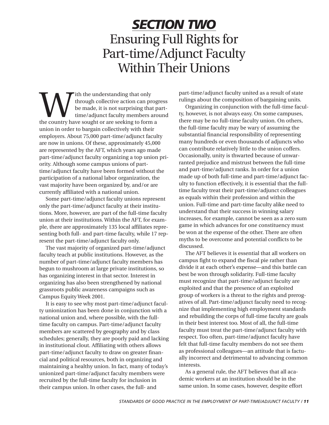## *SECTION TWO* Ensuring Full Rights for Part-time/Adjunct Faculty Within Their Unions

With the understanding that only<br>through collective action can prog<br>the made, it is not surprising that prime/adjunct faculty members are<br>the country have sought or are seeking to form a through collective action can progress be made, it is not surprising that parttime/adjunct faculty members around union in order to bargain collectively with their employers. About 75,000 part-time/adjunct faculty are now in unions. Of these, approximately 45,000 are represented by the AFT, which years ago made part-time/adjunct faculty organizing a top union priority. Although some campus unions of parttime/adjunct faculty have been formed without the participation of a national labor organization, the vast majority have been organized by, and/or are currently affiliated with a national union.

Some part-time/adjunct faculty unions represent only the part-time/adjunct faculty at their institutions. More, however, are part of the full-time faculty union at their institutions. Within the AFT, for example, there are approximately 135 local affiliates representing both full- and part-time faculty, while 17 represent the part-time/adjunct faculty only.

The vast majority of organized part-time/adjunct faculty teach at public institutions. However, as the number of part-time/adjunct faculty members has begun to mushroom at large private institutions, so has organizing interest in that sector. Interest in organizing has also been strengthened by national grassroots public awareness campaigns such as Campus Equity Week 2001.

It is easy to see why most part-time/adjunct faculty unionization has been done in conjunction with a national union and, where possible, with the fulltime faculty on campus. Part-time/adjunct faculty members are scattered by geography and by class schedules; generally, they are poorly paid and lacking in institutional clout. Affiliating with others allows part-time/adjunct faculty to draw on greater financial and political resources, both in organizing and maintaining a healthy union. In fact, many of today's unionized part-time/adjunct faculty members were recruited by the full-time faculty for inclusion in their campus union. In other cases, the full- and

part-time/adjunct faculty united as a result of state rulings about the composition of bargaining units.

Organizing in conjunction with the full-time faculty, however, is not always easy. On some campuses, there may be no full-time faculty union. On others, the full-time faculty may be wary of assuming the substantial financial responsibility of representing many hundreds or even thousands of adjuncts who can contribute relatively little to the union coffers. Occasionally, unity is thwarted because of unwarranted prejudice and mistrust between the full-time and part-time/adjunct ranks. In order for a union made up of both full-time and part-time/adjunct faculty to function effectively, it is essential that the fulltime faculty treat their part-time/adjunct colleagues as equals within their profession and within the union. Full-time and part-time faculty alike need to understand that their success in winning salary increases, for example, cannot be seen as a zero sum game in which advances for one constituency must be won at the expense of the other. There are often myths to be overcome and potential conflicts to be discussed.

The AFT believes it is essential that all workers on campus fight to expand the fiscal pie rather than divide it at each other's expense—and this battle can best be won through solidarity. Full-time faculty must recognize that part-time/adjunct faculty are exploited and that the presence of an exploited group of workers is a threat to the rights and prerogatives of all. Part-time/adjunct faculty need to recognize that implementing high employment standards and rebuilding the corps of full-time faculty are goals in their best interest too. Most of all, the full-time faculty must treat the part-time/adjunct faculty with respect. Too often, part-time/adjunct faculty have felt that full-time faculty members do not see them as professional colleagues—an attitude that is factually incorrect and detrimental to advancing common interests.

As a general rule, the AFT believes that all academic workers at an institution should be in the same union. In some cases, however, despite effort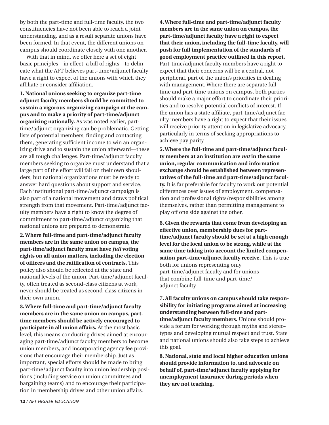by both the part-time and full-time faculty, the two constituencies have not been able to reach a joint understanding, and as a result separate unions have been formed. In that event, the different unions on campus should coordinate closely with one another.

With that in mind, we offer here a set of eight basic principles—in effect, a bill of rights—to delineate what the AFT believes part-time/adjunct faculty have a right to expect of the unions with which they affiliate or consider affiliation.

**1. National unions seeking to organize part-time adjunct faculty members should be committed to sustain a vigorous organizing campaign at the campus and to make a priority of part-time/adjunct organizing nationally.** As was noted earlier, parttime/adjunct organizing can be problematic. Getting lists of potential members, finding and contacting them, generating sufficient income to win an organizing drive and to sustain the union afterward—these are all tough challenges. Part-time/adjunct faculty members seeking to organize must understand that a large part of the effort will fall on their own shoulders, but national organizations must be ready to answer hard questions about support and service. Each institutional part-time/adjunct campaign is also part of a national movement and draws political strength from that movement. Part-time/adjunct faculty members have a right to know the degree of commitment to part-time/adjunct organizing that national unions are prepared to demonstrate.

**2. Where full-time and part-time/adjunct faculty members are in the same union on campus, the part-time/adjunct faculty must have** *full* **voting rights on all union matters, including the election of officers and the ratification of contracts.** This policy also should be reflected at the state and national levels of the union. Part-time/adjunct faculty, often treated as second-class citizens at work, never should be treated as second-class citizens in their own union.

**3. Where full-time and part-time/adjunct faculty members are in the same union on campus, parttime members should be actively encouraged to participate in all union affairs.** At the most basic level, this means conducting drives aimed at encouraging part-time/adjunct faculty members to become union members, and incorporating agency fee provisions that encourage their membership. Just as important, special efforts should be made to bring part-time/adjunct faculty into union leadership positions (including service on union committees and bargaining teams) and to encourage their participation in membership drives and other union affairs.

**4. Where full-time and part-time/adjunct faculty members are in the same union on campus, the part-time/adjunct faculty have a right to expect that their union, including the full-time faculty, will push for full implementation of the standards of good employment practice outlined in this report.** Part-time/adjunct faculty members have a right to expect that their concerns will be a central, not peripheral, part of the union's priorities in dealing with management. Where there are separate fulltime and part-time unions on campus, both parties should make a major effort to coordinate their priorities and to resolve potential conflicts of interest. If the union has a state affiliate, part-time/adjunct faculty members have a right to expect that their issues will receive priority attention in legislative advocacy, particularly in terms of seeking appropriations to achieve pay parity.

**5. Where the full-time and part-time/adjunct faculty members at an institution are** *not* **in the same union, regular communication and information exchange should be established between representatives of the full-time and part-time/adjunct faculty.** It is far preferable for faculty to work out potential differences over issues of employment, compensation and professional rights/responsibilities among themselves, rather than permitting management to play off one side against the other.

**6. Given the rewards that come from developing an effective union, membership dues for parttime/adjunct faculty should be set at a high enough level for the local union to be strong, while at the same time taking into account the limited compensation part-time/adjunct faculty receive.** This is true both for unions representing only part-time/adjunct faculty and for unions that combine full-time and part-time/ adjunct faculty.

**7. All faculty unions on campus should take responsibility for initiating programs aimed at increasing understanding between full-time and parttime/adjunct faculty members.** Unions should provide a forum for working through myths and stereotypes and developing mutual respect and trust. State and national unions should also take steps to achieve this goal.

**8. National, state and local higher education unions should provide information to, and advocate on behalf of, part-time/adjunct faculty applying for unemployment insurance during periods when they are not teaching.**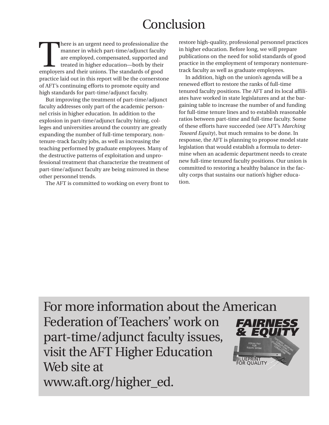## **Conclusion**

There is an urgent need to professionalize the manner in which part-time/adjunct faculty are employed, compensated, supported and treated in higher education—both by their employers and their unions. The standards of good manner in which part-time/adjunct faculty are employed, compensated, supported and treated in higher education—both by their practice laid out in this report will be the cornerstone of AFT's continuing efforts to promote equity and high standards for part-time/adjunct faculty.

But improving the treatment of part-time/adjunct faculty addresses only part of the academic personnel crisis in higher education. In addition to the explosion in part-time/adjunct faculty hiring, colleges and universities around the country are greatly expanding the number of full-time temporary, nontenure-track faculty jobs, as well as increasing the teaching performed by graduate employees. Many of the destructive patterns of exploitation and unprofessional treatment that characterize the treatment of part-time/adjunct faculty are being mirrored in these other personnel trends.

The AFT is committed to working on every front to

restore high-quality, professional personnel practices in higher education. Before long, we will prepare publications on the need for solid standards of good practice in the employment of temporary nontenuretrack faculty as well as graduate employees.

In addition, high on the union's agenda will be a renewed effort to restore the ranks of full-time tenured faculty positions. The AFT and its local affiliates have worked in state legislatures and at the bargaining table to increase the number of and funding for full-time tenure lines and to establish reasonable ratios between part-time and full-time faculty. Some of these efforts have succeeded (see AFT's *Marching Toward Equity*), but much remains to be done. In response, the AFT is planning to propose model state legislation that would establish a formula to determine when an academic department needs to create new full-time tenured faculty positions. Our union is committed to restoring a healthy balance in the faculty corps that sustains our nation's higher education.

*& EQUITY*

Tea<sub>CHERS</sub><br>Inchings, working<br>Chings, eng **STUDENTS** CONERS<br>ENTS/TONGE<br>OND TLEAS ' LENS<sup>RIK</sup>I PST. EVIDEO

FOR

For more information about the American Federation of Teachers' work on part-time/adjunct faculty issues, visit the AFT Higher Education Web site at www.aft.org/higher\_ed. BLUEPRINT FOR QUALITY *FAIRNESS* EQUAL PAY EQUAL WORK